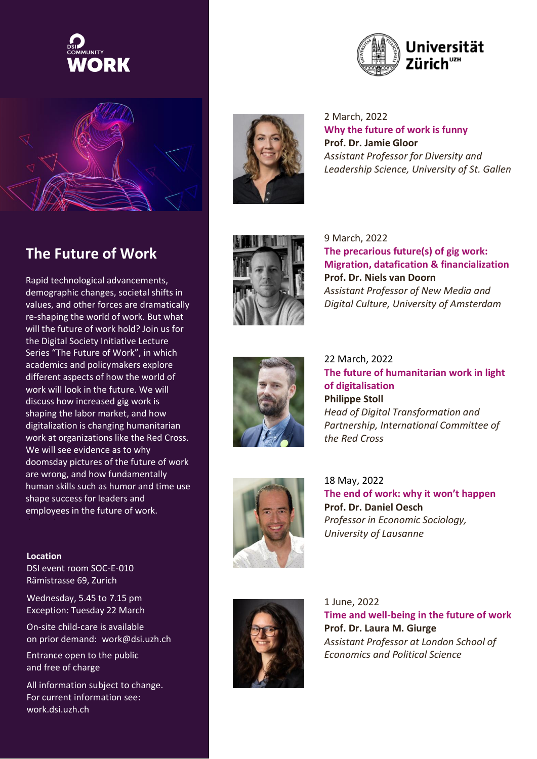



Rapid technological advancements, demographic changes, societal shifts in values, and other forces are dramatically re-shaping the world of work. But what will the future of work hold? Join us for the Digital Society Initiative Lecture Series "The Future of Work", in which academics and policymakers explore different aspects of how the world of work will look in the future. We will discuss how increased gig work is shaping the labor market, and how digitalization is changing humanitarian work at organizations like the Red Cross. We will see evidence as to why doomsday pictures of the future of work are wrong, and how fundamentally human skills such as humor and time use shape success for leaders and employees in the future of work.

## **Location**

DSI event room SOC-E-010 Rämistrasse 69, Zurich

Wednesday, 5.45 to 7.15 pm Exception: Tuesday 22 March

On-site child-care is available on prior demand: [work@dsi.uzh.ch](mailto:work@dsi.uzh.ch)

Entrance open to the public and free of charge

All information subject to change. For current information see: work.dsi.uzh.ch



2 March, 2022 **Why the future of work is funny Prof. Dr. Jamie Gloor** *Assistant Professor for Diversity and Leadership Science, University of St. Gallen*



9 March, 2022 **The precarious future(s) of gig work: Migration, datafication & financialization Prof. Dr. Niels van Doorn** *Assistant Professor of New Media and Digital Culture, University of Amsterdam*



22 March, 2022 **The future of humanitarian work in light of digitalisation Philippe Stoll** *Head of Digital Transformation and Partnership, International Committee of the Red Cross*



18 May, 2022 **The end of work: why it won't happen Prof. Dr. Daniel Oesch** *Professor in Economic Sociology, University of Lausanne*



1 June, 2022 **Time and well-being in the future of work Prof. Dr. Laura M. Giurge** *Assistant Professor at London School of Economics and Political Science*

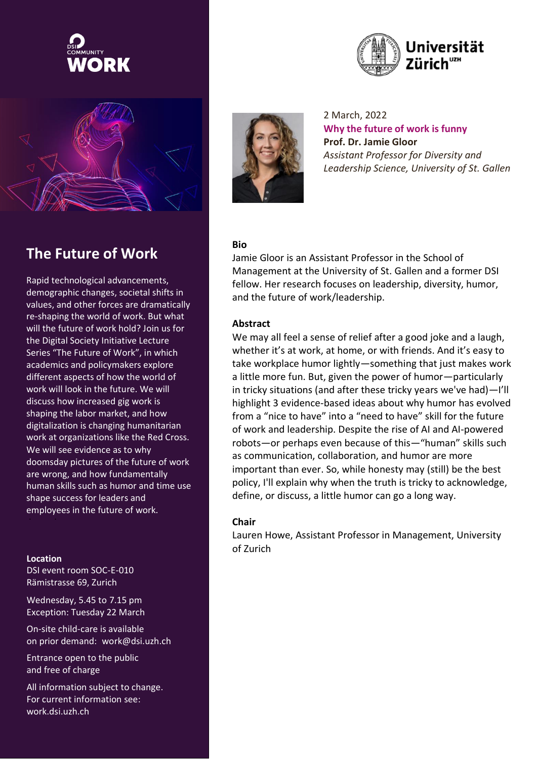



Rapid technological advancements, demographic changes, societal shifts in values, and other forces are dramatically re-shaping the world of work. But what will the future of work hold? Join us for the Digital Society Initiative Lecture Series "The Future of Work", in which academics and policymakers explore different aspects of how the world of work will look in the future. We will discuss how increased gig work is shaping the labor market, and how digitalization is changing humanitarian work at organizations like the Red Cross. We will see evidence as to why doomsday pictures of the future of work are wrong, and how fundamentally human skills such as humor and time use shape success for leaders and employees in the future of work.

#### **Location**

DSI event room SOC-E-010 Rämistrasse 69, Zurich

Wednesday, 5.45 to 7.15 pm Exception: Tuesday 22 March

On-site child-care is available on prior demand: [work@dsi.uzh.ch](mailto:work@dsi.uzh.ch)

Entrance open to the public and free of charge

All information subject to change. For current information see: work.dsi.uzh.ch



2 March, 2022 **Why the future of work is funny Prof. Dr. Jamie Gloor** *Assistant Professor for Diversity and Leadership Science, University of St. Gallen*

#### **Bio**

Jamie Gloor is an Assistant Professor in the School of Management at the University of St. Gallen and a former DSI fellow. Her research focuses on leadership, diversity, humor, and the future of work/leadership.

## **Abstract**

We may all feel a sense of relief after a good joke and a laugh, whether it's at work, at home, or with friends. And it's easy to take workplace humor lightly—something that just makes work a little more fun. But, given the power of humor—particularly in tricky situations (and after these tricky years we've had)—I'll highlight 3 evidence-based ideas about why humor has evolved from a "nice to have" into a "need to have" skill for the future of work and leadership. Despite the rise of AI and AI-powered robots—or perhaps even because of this—"human" skills such as communication, collaboration, and humor are more important than ever. So, while honesty may (still) be the best policy, I'll explain why when the truth is tricky to acknowledge, define, or discuss, a little humor can go a long way.

#### **Chair**

Lauren Howe, Assistant Professor in Management, University of Zurich

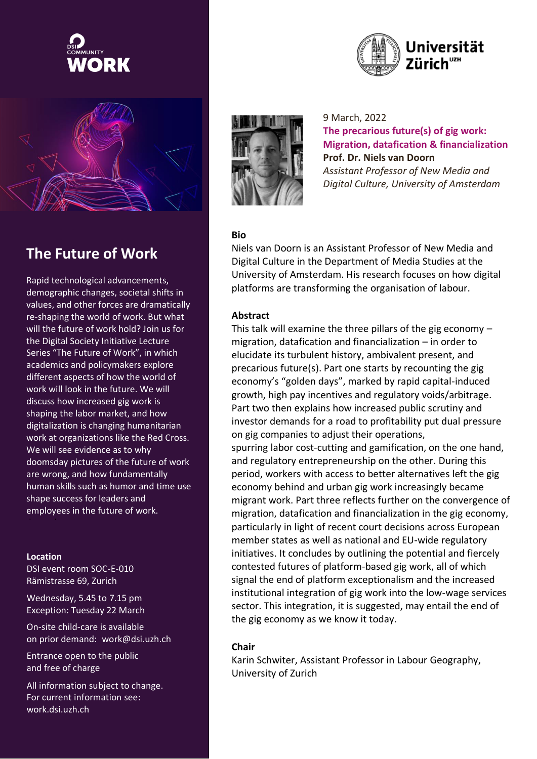



Rapid technological advancements, demographic changes, societal shifts in values, and other forces are dramatically re-shaping the world of work. But what will the future of work hold? Join us for the Digital Society Initiative Lecture Series "The Future of Work", in which academics and policymakers explore different aspects of how the world of work will look in the future. We will discuss how increased gig work is shaping the labor market, and how digitalization is changing humanitarian work at organizations like the Red Cross. We will see evidence as to why doomsday pictures of the future of work are wrong, and how fundamentally human skills such as humor and time use shape success for leaders and employees in the future of work.

#### **Location**

DSI event room SOC-E-010 Rämistrasse 69, Zurich

Wednesday, 5.45 to 7.15 pm Exception: Tuesday 22 March

On-site child-care is available on prior demand: [work@dsi.uzh.ch](mailto:work@dsi.uzh.ch)

Entrance open to the public and free of charge

All information subject to change. For current information see: work.dsi.uzh.ch





9 March, 2022 **The precarious future(s) of gig work: Migration, datafication & financialization Prof. Dr. Niels van Doorn** *Assistant Professor of New Media and Digital Culture, University of Amsterdam*

## **Bio**

Niels van Doorn is an Assistant Professor of New Media and Digital Culture in the Department of Media Studies at the University of Amsterdam. His research focuses on how digital platforms are transforming the organisation of labour.

# **Abstract**

This talk will examine the three pillars of the gig economy  $$ migration, datafication and financialization – in order to elucidate its turbulent history, ambivalent present, and precarious future(s). Part one starts by recounting the gig economy's "golden days", marked by rapid capital-induced growth, high pay incentives and regulatory voids/arbitrage. Part two then explains how increased public scrutiny and investor demands for a road to profitability put dual pressure on gig companies to adjust their operations, spurring labor cost-cutting and gamification, on the one hand, and regulatory entrepreneurship on the other. During this period, workers with access to better alternatives left the gig economy behind and urban gig work increasingly became migrant work. Part three reflects further on the convergence of migration, datafication and financialization in the gig economy, particularly in light of recent court decisions across European member states as well as national and EU-wide regulatory initiatives. It concludes by outlining the potential and fiercely contested futures of platform-based gig work, all of which signal the end of platform exceptionalism and the increased institutional integration of gig work into the low-wage services sector. This integration, it is suggested, may entail the end of the gig economy as we know it today.

## **Chair**

Karin Schwiter, Assistant Professor in Labour Geography, University of Zurich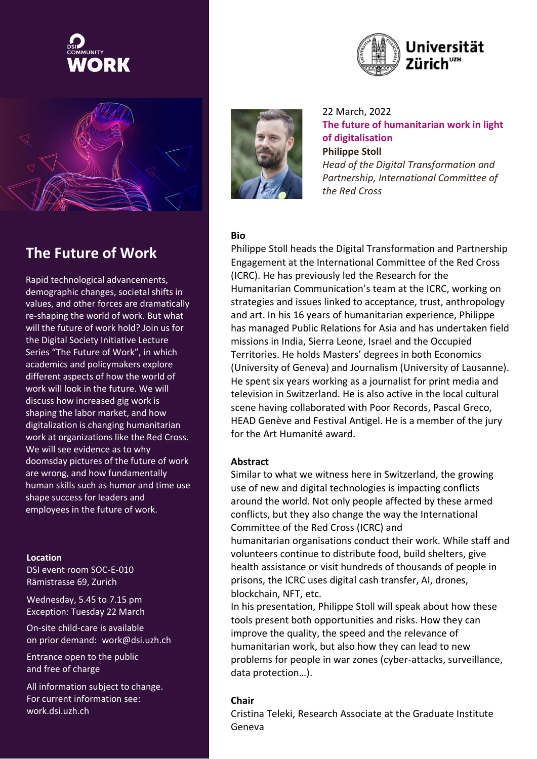



# **The Future of Work The Future of Work**

Rapid technological advancements, Rapid technological advancements, demographic changes, societal shifts in demographic changes, societal shifts in values, and other forces are dramatically values, and other forces are dramatically re-shaping the world of work. But what re-shaping the world of work. But what will the future of work hold? Join us for will the future of work hold? Join us for the Digital Society Initiative Lecture the Digital Society Initiative Lecture Series "The Future of Work", in which Series "The Future of Work", in which academics and policymakers explore academics and policymakers explore different aspects of how the world of different aspects of how the world of work will look in the future. We will work will look in the future. We will discuss how increased gig work is discuss how increased gig work is shaping the labor market, and how shaping the labor market, and how digitalization is changing humanitarian digitalization is changing humanitarian work at organizations like the Red Cross. work at organizations like the Red Cross. work at organizations like the *twork* at organizations like doomsday pictures of the future of work doomsday pictures of the future of work are wrong, and how fundamentally are wrong, and how fundamentally human skills such as humor and time human skills such as humor and time use naman skins such as hanner and the<br>shape success for leaders and employees in the future of work. employees in the future of work.<br>.

## **Location**

DSI event room SOC-E-010 Rämistrasse 69, Zurich

Wednesday, 5.45 to 7.15 pm Exception: Tuesday 22 March

On-site child-care is available on prior demand: [work@dsi.uzh.ch](mailto:work@dsi.uzh.ch)

Entrance open to the public and free of charge

All information subject to change. For current information see: work.dsi.uzh.ch



22 March, 2022 **The future of humanitarian work in light of digitalisation Philippe Stoll**

*Head of the Digital Transformation and Partnership, International Committee of the Red Cross*

## **Bio**

Philippe Stoll heads the Digital Transformation and Partnership Engagement at the International Committee of the Red Cross (ICRC). He has previously led the Research for the Humanitarian Communication's team at the ICRC, working on strategies and issues linked to acceptance, trust, anthropology and art. In his 16 years of humanitarian experience, Philippe has managed Public Relations for Asia and has undertaken field missions in India, Sierra Leone, Israel and the Occupied Territories. He holds Masters' degrees in both Economics (University of Geneva) and Journalism (University of Lausanne). He spent six years working as a journalist for print media and television in Switzerland. He is also active in the local cultural scene having collaborated with Poor Records, Pascal Greco, HEAD Genève and Festival Antigel. He is a member of the jury for the Art Humanité award.

#### **Abstract**

Similar to what we witness here in Switzerland, the growing use of new and digital technologies is impacting conflicts around the world. Not only people affected by these armed conflicts, but they also change the way the International Committee of the Red Cross (ICRC) and

humanitarian organisations conduct their work. While staff and volunteers continue to distribute food, build shelters, give health assistance or visit hundreds of thousands of people in prisons, the ICRC uses digital cash transfer, AI, drones, blockchain, NFT, etc.

In his presentation, Philippe Stoll will speak about how these tools present both opportunities and risks. How they can improve the quality, the speed and the relevance of humanitarian work, but also how they can lead to new problems for people in war zones (cyber-attacks, surveillance, data protection…).

## **Chair**

Cristina Teleki, Research Associate at the Graduate Institute Geneva

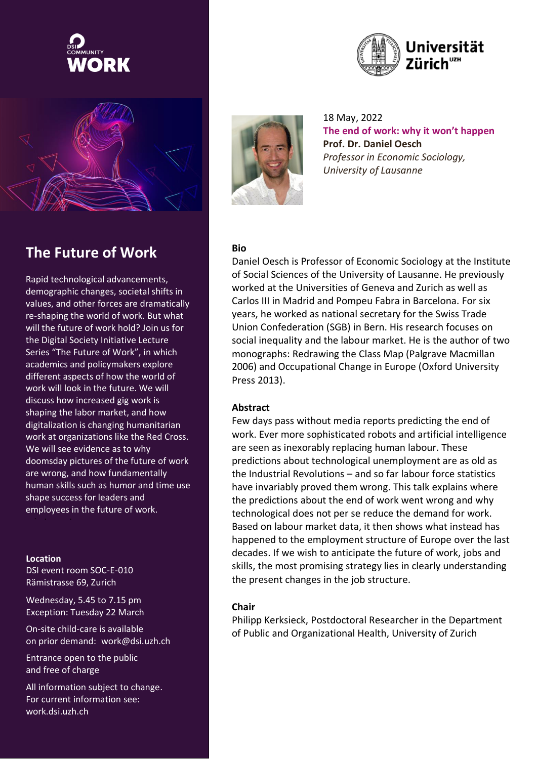



Rapid technological advancements, demographic changes, societal shifts in values, and other forces are dramatically re-shaping the world of work. But what will the future of work hold? Join us for the Digital Society Initiative Lecture Series "The Future of Work", in which academics and policymakers explore different aspects of how the world of work will look in the future. We will discuss how increased gig work is shaping the labor market, and how digitalization is changing humanitarian work at organizations like the Red Cross. We will see evidence as to why doomsday pictures of the future of work are wrong, and how fundamentally human skills such as humor and time use shape success for leaders and employees in the future of work.

#### **Location**

DSI event room SOC-E-010 Rämistrasse 69, Zurich

Wednesday, 5.45 to 7.15 pm Exception: Tuesday 22 March

On-site child-care is available on prior demand: [work@dsi.uzh.ch](mailto:work@dsi.uzh.ch)

Entrance open to the public and free of charge

All information subject to change. For current information see: work.dsi.uzh.ch





18 May, 2022 **The end of work: why it won't happen Prof. Dr. Daniel Oesch** *Professor in Economic Sociology, University of Lausanne*

## **Bio**

Daniel Oesch is Professor of Economic Sociology at the Institute of Social Sciences of the University of Lausanne. He previously worked at the Universities of Geneva and Zurich as well as Carlos III in Madrid and Pompeu Fabra in Barcelona. For six years, he worked as national secretary for the Swiss Trade Union Confederation (SGB) in Bern. His research focuses on social inequality and the labour market. He is the author of two monographs: Redrawing the Class Map (Palgrave Macmillan 2006) and Occupational Change in Europe (Oxford University Press 2013).

## **Abstract**

Few days pass without media reports predicting the end of work. Ever more sophisticated robots and artificial intelligence are seen as inexorably replacing human labour. These predictions about technological unemployment are as old as the Industrial Revolutions – and so far labour force statistics have invariably proved them wrong. This talk explains where the predictions about the end of work went wrong and why technological does not per se reduce the demand for work. Based on labour market data, it then shows what instead has happened to the employment structure of Europe over the last decades. If we wish to anticipate the future of work, jobs and skills, the most promising strategy lies in clearly understanding the present changes in the job structure.

## **Chair**

Philipp Kerksieck, Postdoctoral Researcher in the Department of Public and Organizational Health, University of Zurich